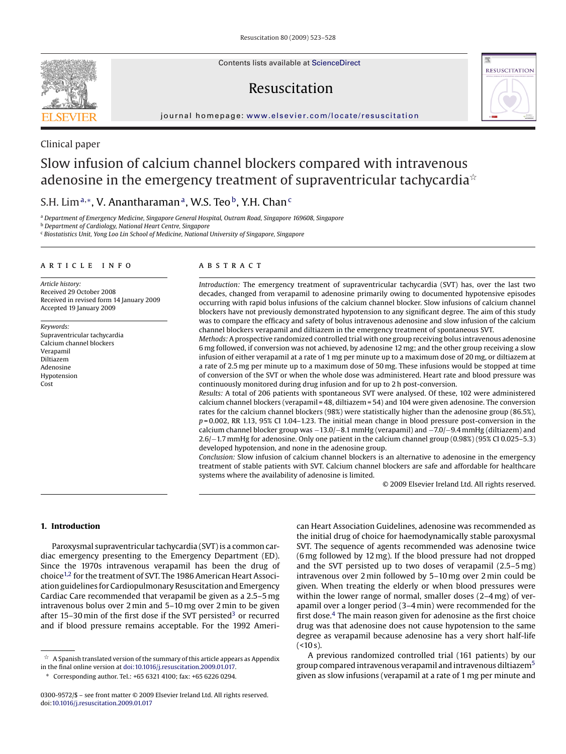Contents lists available at [ScienceDirect](http://www.sciencedirect.com/science/journal/03009572)

# Resuscitation



journal homepage: [www.elsevier.com/locate/resuscitation](http://www.elsevier.com/locate/resuscitation)

# Clinical paper

# Slow infusion of calcium channel blockers compared with intravenous adenosine in the emergency treatment of supraventricular tachycardia $^{\ast}$

# S.H. Lim<sup>a,∗</sup>, V. Anantharaman<sup>a</sup>, W.S. Teo<sup>b</sup>, Y.H. Chan<sup>c</sup>

<sup>a</sup> *Department of Emergency Medicine, Singapore General Hospital, Outram Road, Singapore 169608, Singapore*

<sup>b</sup> *Department of Cardiology, National Heart Centre, Singapore*

<sup>c</sup> *Biostatistics Unit, Yong Loo Lin School of Medicine, National University of Singapore, Singapore*

#### article info

*Article history:* Received 29 October 2008 Received in revised form 14 January 2009 Accepted 19 January 2009

*Keywords:* Supraventricular tachycardia Calcium channel blockers Verapamil Diltiazem Adenosine Hypotension Cost

#### **ABSTRACT**

*Introduction:* The emergency treatment of supraventricular tachycardia (SVT) has, over the last two decades, changed from verapamil to adenosine primarily owing to documented hypotensive episodes occurring with rapid bolus infusions of the calcium channel blocker. Slow infusions of calcium channel blockers have not previously demonstrated hypotension to any significant degree. The aim of this study was to compare the efficacy and safety of bolus intravenous adenosine and slow infusion of the calcium channel blockers verapamil and diltiazem in the emergency treatment of spontaneous SVT.

*Methods:*A prospective randomized controlled trial with one group receiving bolus intravenous adenosine 6 mg followed, if conversion was not achieved, by adenosine 12 mg; and the other group receiving a slow infusion of either verapamil at a rate of 1 mg per minute up to a maximum dose of 20 mg, or diltiazem at a rate of 2.5 mg per minute up to a maximum dose of 50 mg. These infusions would be stopped at time of conversion of the SVT or when the whole dose was administered. Heart rate and blood pressure was continuously monitored during drug infusion and for up to 2 h post-conversion.

*Results:* A total of 206 patients with spontaneous SVT were analysed. Of these, 102 were administered calcium channel blockers (verapamil = 48, diltiazem = 54) and 104 were given adenosine. The conversion rates for the calcium channel blockers (98%) were statistically higher than the adenosine group (86.5%), *p* = 0.002, RR 1.13, 95% CI 1.04–1.23. The initial mean change in blood pressure post-conversion in the calcium channel blocker group was −13.0/−8.1 mmHg (verapamil) and −7.0/−9.4 mmHg (diltiazem) and 2.6/−1.7 mmHg for adenosine. Only one patient in the calcium channel group (0.98%) (95% CI 0.025–5.3) developed hypotension, and none in the adenosine group.

*Conclusion:* Slow infusion of calcium channel blockers is an alternative to adenosine in the emergency treatment of stable patients with SVT. Calcium channel blockers are safe and affordable for healthcare systems where the availability of adenosine is limited.

© 2009 Elsevier Ireland Ltd. All rights reserved.

#### **1. Introduction**

Paroxysmal supraventricular tachycardia (SVT) is a common cardiac emergency presenting to the Emergency Department (ED). Since the 1970s intravenous verapamil has been the drug of choic[e1,2](#page-5-0) for the treatment of SVT. The 1986 American Heart Association guidelines for Cardiopulmonary Resuscitation and Emergency Cardiac Care recommended that verapamil be given as a 2.5–5 mg intravenous bolus over 2 min and 5–10 mg over 2 min to be given after 15–30 min of the first dose if the SVT persisted<sup>3</sup> or recurred and if blood pressure remains acceptable. For the 1992 Ameri-

 $^\star \,$  A Spanish translated version of the summary of this article appears as Appendix in the final online version at [doi:10.1016/j.resuscitation.2009.01.017](http://dx.doi.org/10.1016/j.resuscitation.2009.01.017).

can Heart Association Guidelines, adenosine was recommended as the initial drug of choice for haemodynamically stable paroxysmal SVT. The sequence of agents recommended was adenosine twice (6 mg followed by 12 mg). If the blood pressure had not dropped and the SVT persisted up to two doses of verapamil (2.5–5 mg) intravenous over 2 min followed by 5–10 mg over 2 min could be given. When treating the elderly or when blood pressures were within the lower range of normal, smaller doses (2–4 mg) of verapamil over a longer period (3–4 min) were recommended for the first dose. $4$  The main reason given for adenosine as the first choice drug was that adenosine does not cause hypotension to the same degree as verapamil because adenosine has a very short half-life  $($  < 10 s).

A previous randomized controlled trial (161 patients) by our group compared intravenous verapamil and intravenous diltiazem[5](#page-5-0) given as slow infusions (verapamil at a rate of 1 mg per minute and



<sup>∗</sup> Corresponding author. Tel.: +65 6321 4100; fax: +65 6226 0294.

<sup>0300-9572/\$ –</sup> see front matter © 2009 Elsevier Ireland Ltd. All rights reserved. doi:[10.1016/j.resuscitation.2009.01.017](dx.doi.org/10.1016/j.resuscitation.2009.01.017)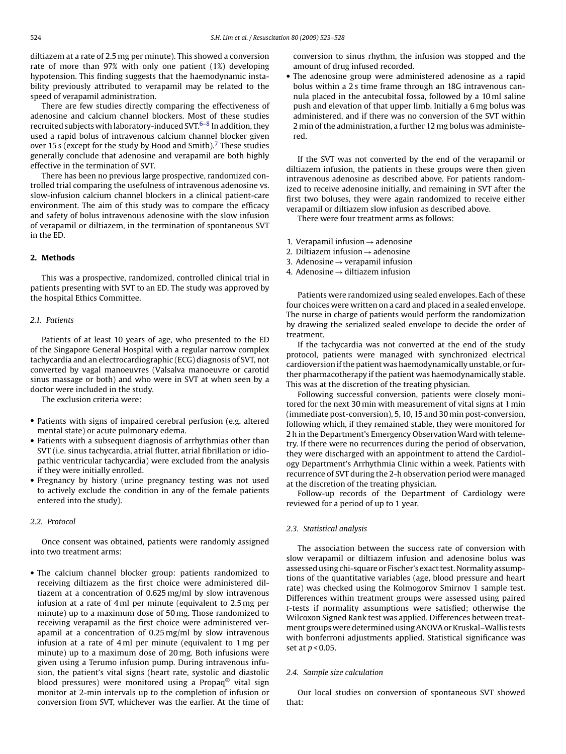diltiazem at a rate of 2.5 mg per minute). This showed a conversion rate of more than 97% with only one patient (1%) developing hypotension. This finding suggests that the haemodynamic instability previously attributed to verapamil may be related to the speed of verapamil administration.

There are few studies directly comparing the effectiveness of adenosine and calcium channel blockers. Most of these studies recruited subjects with laboratory-induced SVT.<sup>6-8</sup> In addition, they used a rapid bolus of intravenous calcium channel blocker given over 15 s (except for the study by Hood and Smith).<sup>[7](#page-5-0)</sup> These studies generally conclude that adenosine and verapamil are both highly effective in the termination of SVT.

There has been no previous large prospective, randomized controlled trial comparing the usefulness of intravenous adenosine vs. slow-infusion calcium channel blockers in a clinical patient-care environment. The aim of this study was to compare the efficacy and safety of bolus intravenous adenosine with the slow infusion of verapamil or diltiazem, in the termination of spontaneous SVT in the ED.

## **2. Methods**

This was a prospective, randomized, controlled clinical trial in patients presenting with SVT to an ED. The study was approved by the hospital Ethics Committee.

## *2.1. Patients*

Patients of at least 10 years of age, who presented to the ED of the Singapore General Hospital with a regular narrow complex tachycardia and an electrocardiographic (ECG) diagnosis of SVT, not converted by vagal manoeuvres (Valsalva manoeuvre or carotid sinus massage or both) and who were in SVT at when seen by a doctor were included in the study.

The exclusion criteria were:

- Patients with signs of impaired cerebral perfusion (e.g. altered mental state) or acute pulmonary edema.
- Patients with a subsequent diagnosis of arrhythmias other than SVT (i.e. sinus tachycardia, atrial flutter, atrial fibrillation or idiopathic ventricular tachycardia) were excluded from the analysis if they were initially enrolled.
- Pregnancy by history (urine pregnancy testing was not used to actively exclude the condition in any of the female patients entered into the study).

### *2.2. Protocol*

Once consent was obtained, patients were randomly assigned into two treatment arms:

• The calcium channel blocker group: patients randomized to receiving diltiazem as the first choice were administered diltiazem at a concentration of 0.625 mg/ml by slow intravenous infusion at a rate of 4 ml per minute (equivalent to 2.5 mg per minute) up to a maximum dose of 50 mg. Those randomized to receiving verapamil as the first choice were administered verapamil at a concentration of 0.25 mg/ml by slow intravenous infusion at a rate of 4 ml per minute (equivalent to 1 mg per minute) up to a maximum dose of 20 mg. Both infusions were given using a Terumo infusion pump. During intravenous infusion, the patient's vital signs (heart rate, systolic and diastolic blood pressures) were monitored using a Propaq® vital sign monitor at 2-min intervals up to the completion of infusion or conversion from SVT, whichever was the earlier. At the time of conversion to sinus rhythm, the infusion was stopped and the amount of drug infused recorded.

• The adenosine group were administered adenosine as a rapid bolus within a 2 s time frame through an 18G intravenous cannula placed in the antecubital fossa, followed by a 10 ml saline push and elevation of that upper limb. Initially a 6 mg bolus was administered, and if there was no conversion of the SVT within 2 min of the administration, a further 12 mg bolus was administered.

If the SVT was not converted by the end of the verapamil or diltiazem infusion, the patients in these groups were then given intravenous adenosine as described above. For patients randomized to receive adenosine initially, and remaining in SVT after the first two boluses, they were again randomized to receive either verapamil or diltiazem slow infusion as described above.

There were four treatment arms as follows:

- 1. Verapamil infusion  $\rightarrow$  adenosine
- 2. Diltiazem infusion  $\rightarrow$  adenosine
- 3. Adenosine  $\rightarrow$  verapamil infusion
- 4. Adenosine  $\rightarrow$  diltiazem infusion

Patients were randomized using sealed envelopes. Each of these four choices were written on a card and placed in a sealed envelope. The nurse in charge of patients would perform the randomization by drawing the serialized sealed envelope to decide the order of treatment.

If the tachycardia was not converted at the end of the study protocol, patients were managed with synchronized electrical cardioversion if the patient was haemodynamically unstable, or further pharmacotherapy if the patient was haemodynamically stable. This was at the discretion of the treating physician.

Following successful conversion, patients were closely monitored for the next 30 min with measurement of vital signs at 1 min (immediate post-conversion), 5, 10, 15 and 30 min post-conversion, following which, if they remained stable, they were monitored for 2 h in the Department's Emergency Observation Ward with telemetry. If there were no recurrences during the period of observation, they were discharged with an appointment to attend the Cardiology Department's Arrhythmia Clinic within a week. Patients with recurrence of SVT during the 2-h observation period were managed at the discretion of the treating physician.

Follow-up records of the Department of Cardiology were reviewed for a period of up to 1 year.

#### *2.3. Statistical analysis*

The association between the success rate of conversion with slow verapamil or diltiazem infusion and adenosine bolus was assessed using chi-square or Fischer's exact test. Normality assumptions of the quantitative variables (age, blood pressure and heart rate) was checked using the Kolmogorov Smirnov 1 sample test. Differences within treatment groups were assessed using paired *t*-tests if normality assumptions were satisfied; otherwise the Wilcoxon Signed Rank test was applied. Differences between treatment groups were determined using ANOVA or Kruskal–Wallis tests with bonferroni adjustments applied. Statistical significance was set at *p* < 0.05.

#### *2.4. Sample size calculation*

Our local studies on conversion of spontaneous SVT showed that: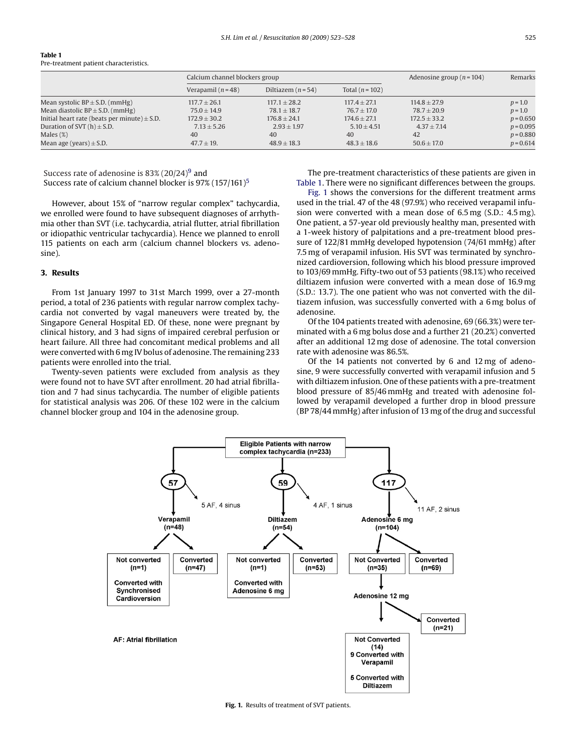| <b>Table 1</b>                         |
|----------------------------------------|
| Pre-treatment patient characteristics. |

|                                                  |                    | Calcium channel blockers group |                     |                  | Remarks     |
|--------------------------------------------------|--------------------|--------------------------------|---------------------|------------------|-------------|
|                                                  | Verapamil $(n=48)$ | Diltiazem $(n=54)$             | Total ( $n = 102$ ) |                  |             |
| Mean systolic $BP \pm S.D.$ (mmHg)               | $117.7 \pm 26.1$   | $117.1 \pm 28.2$               | $117.4 \pm 27.1$    | $114.8 + 27.9$   | $p = 1.0$   |
| Mean diastolic $BP \pm S.D.$ (mmHg)              | $75.0 \pm 14.9$    | $78.1 + 18.7$                  | $76.7 \pm 17.0$     | $78.7 \pm 20.9$  | $p = 1.0$   |
| Initial heart rate (beats per minute) $\pm$ S.D. | $172.9 \pm 30.2$   | $176.8 \pm 24.1$               | $174.6 \pm 27.1$    | $172.5 \pm 33.2$ | $p = 0.650$ |
| Duration of SVT $(h) \pm S.D.$                   | $7.13 \pm 5.26$    | $2.93 \pm 1.97$                | $5.10 \pm 4.51$     | $4.37 \pm 7.14$  | $p = 0.095$ |
| Males $(\%)$                                     | 40                 | 40                             | 40                  | 42               | $p = 0.880$ |
| Mean age (years) $\pm$ S.D.                      | $47.7 \pm 19.$     | $48.9 \pm 18.3$                | $48.3 \pm 18.6$     | $50.6 \pm 17.0$  | $p = 0.614$ |

Success rate of adenosine is  $83\%$  (20/24)<sup>[9](#page-5-0)</sup> and

Success rate of calcium channel blocker is  $97\%$  (1[5](#page-5-0)7/161)<sup>5</sup>

However, about 15% of "narrow regular complex" tachycardia, we enrolled were found to have subsequent diagnoses of arrhythmia other than SVT (i.e. tachycardia, atrial flutter, atrial fibrillation or idiopathic ventricular tachycardia). Hence we planned to enroll 115 patients on each arm (calcium channel blockers vs. adenosine).

## **3. Results**

From 1st January 1997 to 31st March 1999, over a 27-month period, a total of 236 patients with regular narrow complex tachycardia not converted by vagal maneuvers were treated by, the Singapore General Hospital ED. Of these, none were pregnant by clinical history, and 3 had signs of impaired cerebral perfusion or heart failure. All three had concomitant medical problems and all were converted with 6 mg IV bolus of adenosine. The remaining 233 patients were enrolled into the trial.

Twenty-seven patients were excluded from analysis as they were found not to have SVT after enrollment. 20 had atrial fibrillation and 7 had sinus tachycardia. The number of eligible patients for statistical analysis was 206. Of these 102 were in the calcium channel blocker group and 104 in the adenosine group.

The pre-treatment characteristics of these patients are given in Table 1. There were no significant differences between the groups.

Fig. 1 shows the conversions for the different treatment arms used in the trial. 47 of the 48 (97.9%) who received verapamil infusion were converted with a mean dose of 6.5 mg (S.D.: 4.5 mg). One patient, a 57-year old previously healthy man, presented with a 1-week history of palpitations and a pre-treatment blood pressure of 122/81 mmHg developed hypotension (74/61 mmHg) after 7.5 mg of verapamil infusion. His SVT was terminated by synchronized cardioversion, following which his blood pressure improved to 103/69 mmHg. Fifty-two out of 53 patients (98.1%) who received diltiazem infusion were converted with a mean dose of 16.9 mg (S.D.: 13.7). The one patient who was not converted with the diltiazem infusion, was successfully converted with a 6 mg bolus of adenosine.

Of the 104 patients treated with adenosine, 69 (66.3%) were terminated with a 6 mg bolus dose and a further 21 (20.2%) converted after an additional 12 mg dose of adenosine. The total conversion rate with adenosine was 86.5%.

Of the 14 patients not converted by 6 and 12 mg of adenosine, 9 were successfully converted with verapamil infusion and 5 with diltiazem infusion. One of these patients with a pre-treatment blood pressure of 85/46 mmHg and treated with adenosine followed by verapamil developed a further drop in blood pressure (BP 78/44 mmHg) after infusion of 13 mg of the drug and successful



**Fig. 1.** Results of treatment of SVT patients.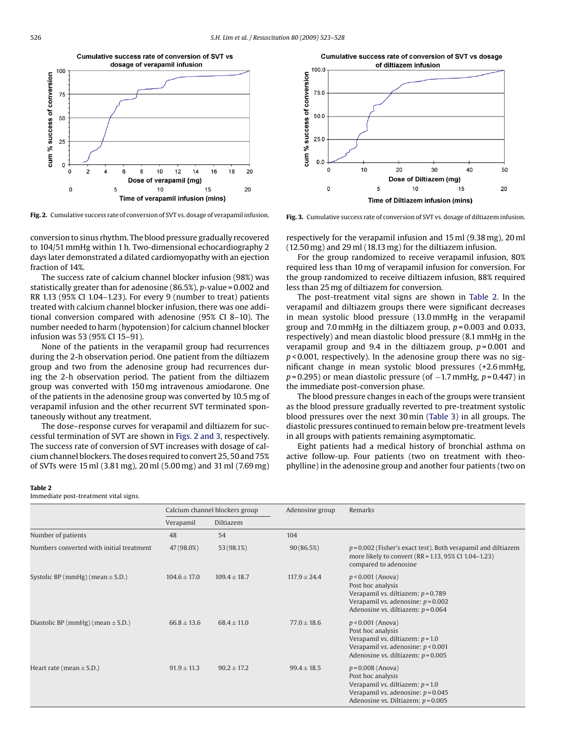

**Fig. 2.** Cumulative success rate of conversion of SVT vs. dosage of verapamil infusion.

conversion to sinus rhythm. The blood pressure gradually recovered to 104/51 mmHg within 1 h. Two-dimensional echocardiography 2 days later demonstrated a dilated cardiomyopathy with an ejection fraction of 14%.

The success rate of calcium channel blocker infusion (98%) was statistically greater than for adenosine (86.5%), *p*-value = 0.002 and RR 1.13 (95% CI 1.04–1.23). For every 9 (number to treat) patients treated with calcium channel blocker infusion, there was one additional conversion compared with adenosine (95% CI 8–10). The number needed to harm (hypotension) for calcium channel blocker infusion was 53 (95% CI 15–91).

None of the patients in the verapamil group had recurrences during the 2-h observation period. One patient from the diltiazem group and two from the adenosine group had recurrences during the 2-h observation period. The patient from the diltiazem group was converted with 150 mg intravenous amiodarone. One of the patients in the adenosine group was converted by 10.5 mg of verapamil infusion and the other recurrent SVT terminated spontaneously without any treatment.

The dose–response curves for verapamil and diltiazem for successful termination of SVT are shown in Figs. 2 and 3, respectively. The success rate of conversion of SVT increases with dosage of calcium channel blockers. The doses required to convert 25, 50 and 75% of SVTs were 15 ml (3.81 mg), 20 ml (5.00 mg) and 31 ml (7.69 mg)



**Fig. 3.** Cumulative success rate of conversion of SVT vs. dosage of diltiazem infusion.

respectively for the verapamil infusion and 15 ml (9.38 mg), 20 ml (12.50 mg) and 29 ml (18.13 mg) for the diltiazem infusion.

For the group randomized to receive verapamil infusion, 80% required less than 10 mg of verapamil infusion for conversion. For the group randomized to receive diltiazem infusion, 88% required less than 25 mg of diltiazem for conversion.

The post-treatment vital signs are shown in Table 2. In the verapamil and diltiazem groups there were significant decreases in mean systolic blood pressure (13.0 mmHg in the verapamil group and 7.0 mmHg in the diltiazem group, *p* = 0.003 and 0.033, respectively) and mean diastolic blood pressure (8.1 mmHg in the verapamil group and 9.4 in the diltiazem group, *p* = 0.001 and *p* < 0.001, respectively). In the adenosine group there was no significant change in mean systolic blood pressures (+2.6 mmHg, *p* = 0.295) or mean diastolic pressure (of −1.7 mmHg, *p* = 0.447) in the immediate post-conversion phase.

The blood pressure changes in each of the groups were transient as the blood pressure gradually reverted to pre-treatment systolic blood pressures over the next 30 min ([Table 3\)](#page-4-0) in all groups. The diastolic pressures continued to remain below pre-treatment levels in all groups with patients remaining asymptomatic.

Eight patients had a medical history of bronchial asthma on active follow-up. Four patients (two on treatment with theophylline) in the adenosine group and another four patients (two on

#### **Table 2**

Immediate post-treatment vital signs.

|                                          | Calcium channel blockers group |                  | Adenosine group | Remarks                                                                                                                                                          |  |
|------------------------------------------|--------------------------------|------------------|-----------------|------------------------------------------------------------------------------------------------------------------------------------------------------------------|--|
|                                          | Verapamil                      | Diltiazem        |                 |                                                                                                                                                                  |  |
| Number of patients                       | 48                             | 54               | 104             |                                                                                                                                                                  |  |
| Numbers converted with initial treatment | 47 (98.0%)                     | 53 (98.1%)       | 90(86.5%)       | $p = 0.002$ (Fisher's exact test). Both verapamil and diltiazem<br>more likely to convert (RR = 1.13, 95% CI 1.04-1.23)<br>compared to adenosine                 |  |
| Systolic BP (mmHg) (mean $\pm$ S.D.)     | $104.6 \pm 17.0$               | $109.4 \pm 18.7$ | $117.9 + 24.4$  | $p < 0.001$ (Anova)<br>Post hoc analysis<br>Verapamil vs. diltiazem: $p = 0.789$<br>Verapamil vs. adenosine: $p = 0.002$<br>Adenosine vs. diltiazem: $p = 0.064$ |  |
| Diastolic BP (mmHg) (mean $\pm$ S.D.)    | $66.8 \pm 13.6$                | $68.4 \pm 11.0$  | $77.0 \pm 18.6$ | $p < 0.001$ (Anova)<br>Post hoc analysis<br>Verapamil vs. diltiazem: $p = 1.0$<br>Verapamil vs. adenosine: $p < 0.001$<br>Adenosine vs. diltiazem: $p = 0.005$   |  |
| Heart rate (mean $\pm$ S.D.)             | $91.9 \pm 11.3$                | $90.2 \pm 17.2$  | $99.4 \pm 18.5$ | $p = 0.008$ (Anova)<br>Post hoc analysis<br>Verapamil vs. diltiazem: $p = 1.0$<br>Verapamil vs. adenosine: $p = 0.045$<br>Adenosine vs. Diltiazem: $p = 0.005$   |  |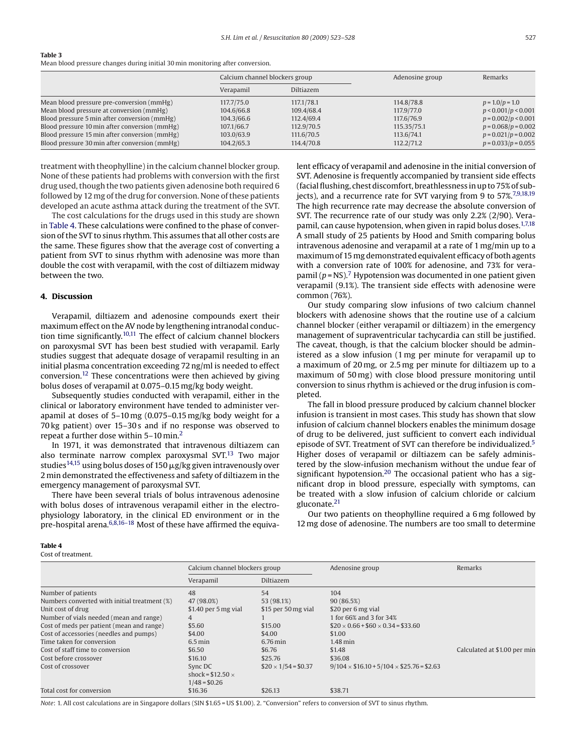#### <span id="page-4-0"></span>**Table 3**

Mean blood pressure changes during initial 30 min monitoring after conversion.

|                                               | Calcium channel blockers group |            | Adenosine group | Remarks               |
|-----------------------------------------------|--------------------------------|------------|-----------------|-----------------------|
|                                               | Verapamil                      | Diltiazem  |                 |                       |
| Mean blood pressure pre-conversion (mmHg)     | 117,7/75.0                     | 117,1/78.1 | 114.8/78.8      | $p = 1.0/p = 1.0$     |
| Mean blood pressure at conversion (mmHg)      | 104.6/66.8                     | 109.4/68.4 | 117.9/77.0      | p < 0.001/p < 0.001   |
| Blood pressure 5 min after conversion (mmHg)  | 104.3/66.6                     | 112.4/69.4 | 117.6/76.9      | $p = 0.002/p < 0.001$ |
| Blood pressure 10 min after conversion (mmHg) | 107.1/66.7                     | 112.9/70.5 | 115.35/75.1     | $p = 0.068/p = 0.002$ |
| Blood pressure 15 min after conversion (mmHg) | 103.0/63.9                     | 111.6/70.5 | 113.6/74.1      | $p = 0.021/p = 0.002$ |
| Blood pressure 30 min after conversion (mmHg) | 104.2/65.3                     | 114.4/70.8 | 112.2/71.2      | $p = 0.033/p = 0.055$ |

treatment with theophylline) in the calcium channel blocker group. None of these patients had problems with conversion with the first drug used, though the two patients given adenosine both required 6 followed by 12 mg of the drug for conversion. None of these patients developed an acute asthma attack during the treatment of the SVT.

The cost calculations for the drugs used in this study are shown in Table 4. These calculations were confined to the phase of conversion of the SVT to sinus rhythm. This assumes that all other costs are the same. These figures show that the average cost of converting a patient from SVT to sinus rhythm with adenosine was more than double the cost with verapamil, with the cost of diltiazem midway between the two.

#### **4. Discussion**

Verapamil, diltiazem and adenosine compounds exert their maximum effect on the AV node by lengthening intranodal conduction time significantly[.10,11](#page-5-0) The effect of calcium channel blockers on paroxysmal SVT has been best studied with verapamil. Early studies suggest that adequate dosage of verapamil resulting in an initial plasma concentration exceeding 72 ng/ml is needed to effect conversion[.12](#page-5-0) These concentrations were then achieved by giving bolus doses of verapamil at 0.075–0.15 mg/kg body weight.

Subsequently studies conducted with verapamil, either in the clinical or laboratory environment have tended to administer verapamil at doses of 5–10 mg (0.075–0.15 mg/kg body weight for a 70 kg patient) over 15–30 s and if no response was observed to repeat a further dose within 5–10 min.[2](#page-5-0)

In 1971, it was demonstrated that intravenous diltiazem can also terminate narrow complex paroxysmal SVT.<sup>13</sup> Two major studies $^{14,15}$  $^{14,15}$  $^{14,15}$  using bolus doses of 150  $\mu$ g/kg given intravenously over 2 min demonstrated the effectiveness and safety of diltiazem in the emergency management of paroxysmal SVT.

There have been several trials of bolus intravenous adenosine with bolus doses of intravenous verapamil either in the electrophysiology laboratory, in the clinical ED environment or in the pre-hospital arena.<sup>6,8,16-18</sup> Most of these have affirmed the equiva-

#### **Table 4**

Cost of treatment.

lent efficacy of verapamil and adenosine in the initial conversion of SVT. Adenosine is frequently accompanied by transient side effects (facial flushing, chest discomfort, breathlessness in up to 75% of sub-jects), and a recurrence rate for SVT varying from 9 to 57%.<sup>[7,9,18,19](#page-5-0)</sup> The high recurrence rate may decrease the absolute conversion of SVT. The recurrence rate of our study was only 2.2% (2/90). Vera-pamil, can cause hypotension, when given in rapid bolus doses.<sup>[1,7,18](#page-5-0)</sup> A small study of 25 patients by Hood and Smith comparing bolus intravenous adenosine and verapamil at a rate of 1 mg/min up to a maximum of 15 mg demonstrated equivalent efficacy of both agents with a conversion rate of 100% for adenosine, and 73% for verapamil  $(p = NS)$ .<sup>7</sup> Hypotension was documented in one patient given verapamil (9.1%). The transient side effects with adenosine were common (76%).

Our study comparing slow infusions of two calcium channel blockers with adenosine shows that the routine use of a calcium channel blocker (either verapamil or diltiazem) in the emergency management of supraventricular tachycardia can still be justified. The caveat, though, is that the calcium blocker should be administered as a slow infusion (1 mg per minute for verapamil up to a maximum of 20 mg, or 2.5 mg per minute for diltiazem up to a maximum of 50 mg) with close blood pressure monitoring until conversion to sinus rhythm is achieved or the drug infusion is completed.

The fall in blood pressure produced by calcium channel blocker infusion is transient in most cases. This study has shown that slow infusion of calcium channel blockers enables the minimum dosage of drug to be delivered, just sufficient to convert each individual episode of SVT. Treatment of SVT can therefore be individualized.[5](#page-5-0) Higher doses of verapamil or diltiazem can be safely administered by the slow-infusion mechanism without the undue fear of significant hypotension.<sup>20</sup> The occasional patient who has a significant drop in blood pressure, especially with symptoms, can be treated with a slow infusion of calcium chloride or calcium gluconate.[21](#page-5-0)

Our two patients on theophylline required a 6 mg followed by 12 mg dose of adenosine. The numbers are too small to determine

|                                              | Calcium channel blockers group |                           | Adenosine group                                     | Remarks                      |  |
|----------------------------------------------|--------------------------------|---------------------------|-----------------------------------------------------|------------------------------|--|
|                                              | Verapamil                      | Diltiazem                 |                                                     |                              |  |
| Number of patients                           | 48                             | 54                        | 104                                                 |                              |  |
| Numbers converted with initial treatment (%) | 47 (98.0%)                     | 53 (98.1%)                | 90 (86.5%)                                          |                              |  |
| Unit cost of drug                            | \$1.40 per 5 mg vial           | \$15 per 50 mg vial       | \$20 per 6 mg vial                                  |                              |  |
| Number of vials needed (mean and range)      | 4                              |                           | 1 for 66% and 3 for 34%                             |                              |  |
| Cost of meds per patient (mean and range)    | \$5.60                         | \$15.00                   | $$20 \times 0.66 + $60 \times 0.34 = $33.60$        |                              |  |
| Cost of accessories (needles and pumps)      | \$4.00                         | \$4.00                    | \$1.00                                              |                              |  |
| Time taken for conversion                    | $6.5$ min                      | $6.76$ min                | $1.48$ min                                          |                              |  |
| Cost of staff time to conversion             | \$6.50                         | \$6.76                    | \$1.48                                              | Calculated at \$1.00 per min |  |
| Cost before crossover                        | \$16.10                        | \$25.76                   | \$36.08                                             |                              |  |
| Cost of crossover                            | Sync DC                        | $$20 \times 1/54 = $0.37$ | $9/104 \times $16.10 + 5/104 \times $25.76 = $2.63$ |                              |  |
|                                              | shock = $$12.50 \times$        |                           |                                                     |                              |  |
|                                              | $1/48 = $0.26$                 |                           |                                                     |                              |  |
| Total cost for conversion                    | \$16.36                        | \$26.13                   | \$38.71                                             |                              |  |

*Note*: 1. All cost calculations are in Singapore dollars (SIN \$1.65 = US \$1.00). 2. "Conversion" refers to conversion of SVT to sinus rhythm.